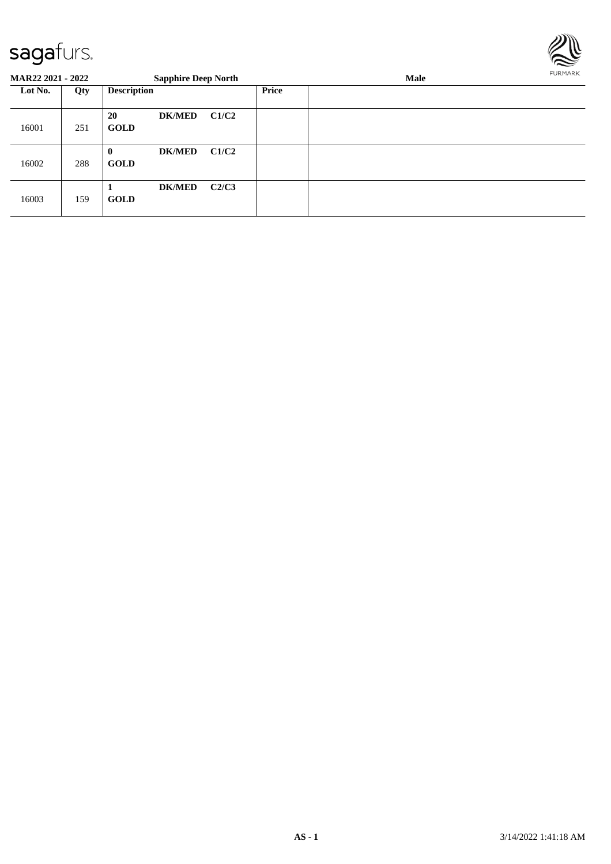

| <b>MAR22 2021 - 2022</b> |     |                                          | <b>Sapphire Deep North</b> |       | Male | FURMARK |
|--------------------------|-----|------------------------------------------|----------------------------|-------|------|---------|
| Lot No.                  | Qty | <b>Description</b>                       |                            | Price |      |         |
| 16001                    | 251 | 20<br><b>DK/MED</b><br><b>GOLD</b>       | C1/C2                      |       |      |         |
| 16002                    | 288 | <b>DK/MED</b><br>$\bf{0}$<br><b>GOLD</b> | C1/C2                      |       |      |         |
| 16003                    | 159 | <b>DK/MED</b><br><b>GOLD</b>             | C2/C3                      |       |      |         |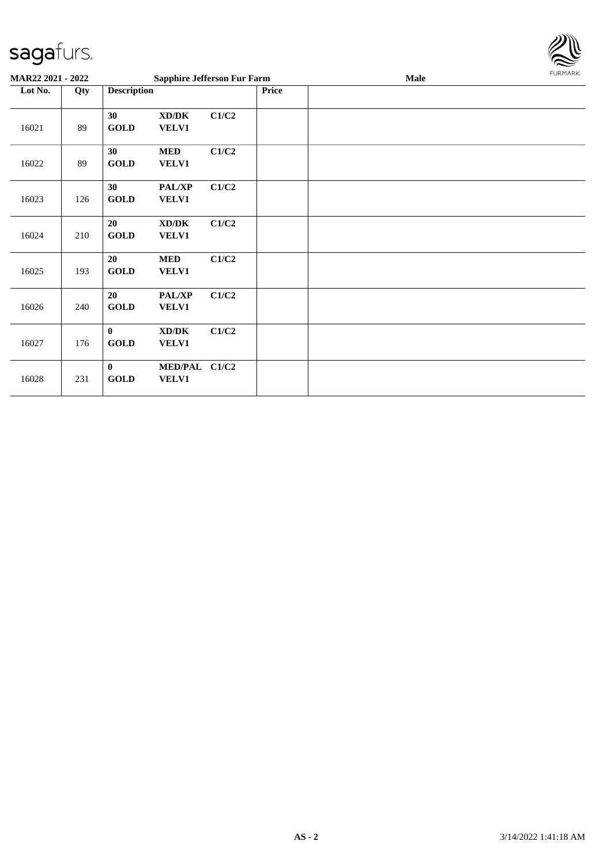

| MAR22 2021 - 2022 |     |                                   | <b>Sapphire Jefferson Fur Farm</b>           |       |       | Male | FURMARK |
|-------------------|-----|-----------------------------------|----------------------------------------------|-------|-------|------|---------|
| Lot No.           | Qty | <b>Description</b>                |                                              |       | Price |      |         |
| 16021             | 89  | 30<br><b>GOLD</b>                 | XD/DK<br>VELV1                               | C1/C2 |       |      |         |
| 16022             | 89  | 30<br><b>GOLD</b>                 | <b>MED</b><br><b>VELV1</b>                   | C1/C2 |       |      |         |
| 16023             | 126 | 30<br>$\operatorname{GOLD}$       | <b>PAL/XP</b><br>VELV1                       | C1/C2 |       |      |         |
| 16024             | 210 | <b>20</b><br><b>GOLD</b>          | $\bold{X}\bold{D}/\bold{D}\bold{K}$<br>VELV1 | C1/C2 |       |      |         |
| 16025             | 193 | 20<br><b>GOLD</b>                 | <b>MED</b><br>VELV1                          | C1/C2 |       |      |         |
| 16026             | 240 | 20<br>$\operatorname{GOLD}$       | <b>PAL/XP</b><br>VELV1                       | C1/C2 |       |      |         |
| 16027             | 176 | $\bf{0}$<br><b>GOLD</b>           | XD/DK<br><b>VELV1</b>                        | C1/C2 |       |      |         |
| 16028             | 231 | $\bf{0}$<br>$\operatorname{GOLD}$ | MED/PAL C1/C2<br>VELV1                       |       |       |      |         |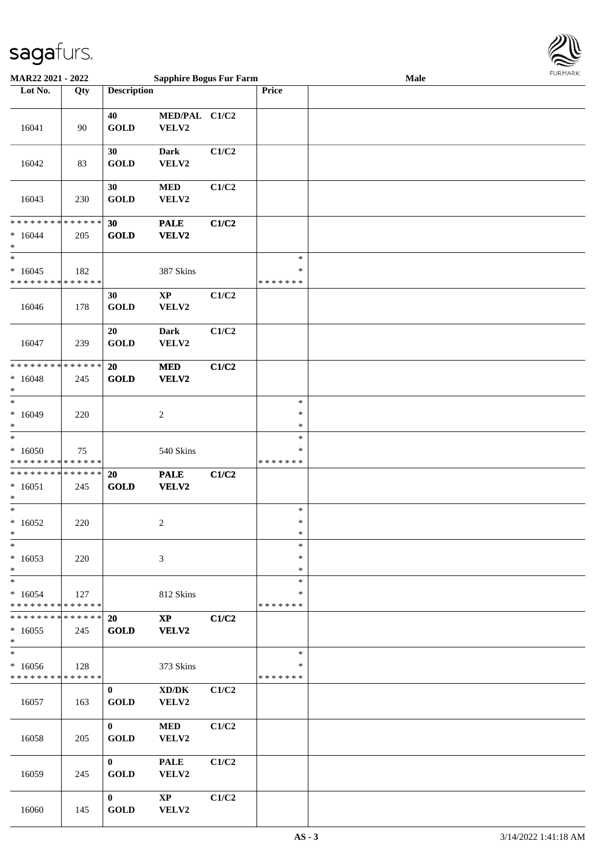

| MAR22 2021 - 2022                                  |     |                             | <b>Sapphire Bogus Fur Farm</b>         |       |                                   | Male | <b>LOKINKY</b> |
|----------------------------------------------------|-----|-----------------------------|----------------------------------------|-------|-----------------------------------|------|----------------|
| Lot No.                                            | Qty | <b>Description</b>          |                                        |       | Price                             |      |                |
| 16041                                              | 90  | 40<br><b>GOLD</b>           | MED/PAL C1/C2<br>VELV2                 |       |                                   |      |                |
| 16042                                              | 83  | 30<br><b>GOLD</b>           | <b>Dark</b><br>VELV2                   | C1/C2 |                                   |      |                |
| 16043                                              | 230 | 30<br><b>GOLD</b>           | $\bf MED$<br>VELV2                     | C1/C2 |                                   |      |                |
| * * * * * * * * * * * * * *<br>$*16044$<br>$\ast$  | 205 | 30<br><b>GOLD</b>           | <b>PALE</b><br>VELV2                   | C1/C2 |                                   |      |                |
| $\ast$<br>$*16045$<br>* * * * * * * * * * * * * *  | 182 |                             | 387 Skins                              |       | $\ast$<br>$\ast$<br>* * * * * * * |      |                |
| 16046                                              | 178 | 30<br>$\operatorname{GOLD}$ | $\bold{XP}$<br>VELV2                   | C1/C2 |                                   |      |                |
| 16047                                              | 239 | 20<br><b>GOLD</b>           | <b>Dark</b><br>VELV2                   | C1/C2 |                                   |      |                |
| * * * * * * * * * * * * * *<br>$* 16048$<br>$\ast$ | 245 | 20<br><b>GOLD</b>           | $\bf MED$<br><b>VELV2</b>              | C1/C2 |                                   |      |                |
| $\ast$<br>$*16049$<br>$\ast$                       | 220 |                             | $\overline{c}$                         |       | $\ast$<br>$\ast$<br>$\ast$        |      |                |
| $\ast$<br>$*16050$<br>* * * * * * * * * * * * * *  | 75  |                             | 540 Skins                              |       | $\ast$<br>∗<br>* * * * * * *      |      |                |
| * * * * * * * * * * * * * *<br>$*16051$<br>$\ast$  | 245 | <b>20</b><br><b>GOLD</b>    | <b>PALE</b><br>VELV2                   | C1/C2 |                                   |      |                |
| $\ast$<br>$*16052$<br>$\star$                      | 220 |                             | 2                                      |       | $\ast$<br>$\ast$<br>$\star$       |      |                |
| $*$<br>$*16053$<br>$\ast$                          | 220 |                             | 3                                      |       | $\ast$<br>$\ast$<br>$\ast$        |      |                |
| $*$<br>$*16054$<br>* * * * * * * * * * * * * *     | 127 |                             | 812 Skins                              |       | $\ast$<br>$\ast$<br>* * * * * * * |      |                |
| * * * * * * * * * * * * * * *<br>$*16055$<br>$*$   | 245 | 20<br><b>GOLD</b>           | $\mathbf{X}\mathbf{P}$<br><b>VELV2</b> | C1/C2 |                                   |      |                |
| $*$<br>$*16056$<br>* * * * * * * * * * * * * *     | 128 |                             | 373 Skins                              |       | $\ast$<br>∗<br>* * * * * * *      |      |                |
| 16057                                              | 163 | $\mathbf{0}$<br><b>GOLD</b> | XD/DK<br>VELV2                         | C1/C2 |                                   |      |                |
| 16058                                              | 205 | $\mathbf{0}$<br><b>GOLD</b> | <b>MED</b><br>VELV2                    | C1/C2 |                                   |      |                |
| 16059                                              | 245 | $\mathbf{0}$<br><b>GOLD</b> | <b>PALE</b><br>VELV2                   | C1/C2 |                                   |      |                |
| 16060                                              | 145 | $\mathbf{0}$<br><b>GOLD</b> | $\mathbf{XP}$<br>VELV2                 | C1/C2 |                                   |      |                |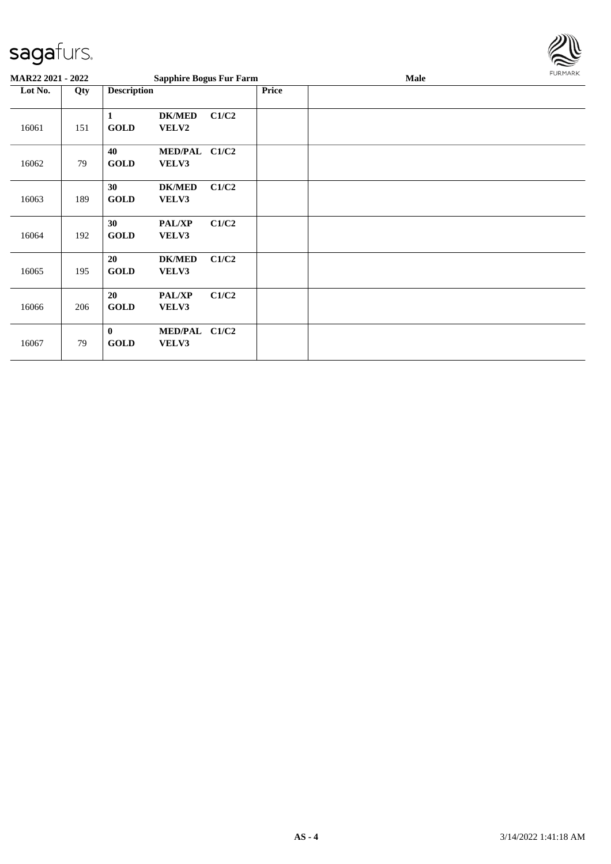

| MAR22 2021 - 2022 |     |                         | <b>Sapphire Bogus Fur Farm</b> |       |       | Male | <b>FURMARK</b> |
|-------------------|-----|-------------------------|--------------------------------|-------|-------|------|----------------|
| Lot No.           | Qty | <b>Description</b>      |                                |       | Price |      |                |
| 16061             | 151 | 1<br><b>GOLD</b>        | <b>DK/MED</b><br><b>VELV2</b>  | C1/C2 |       |      |                |
| 16062             | 79  | 40<br><b>GOLD</b>       | MED/PAL C1/C2<br>VELV3         |       |       |      |                |
| 16063             | 189 | 30<br><b>GOLD</b>       | <b>DK/MED</b><br>VELV3         | C1/C2 |       |      |                |
| 16064             | 192 | 30<br><b>GOLD</b>       | <b>PAL/XP</b><br>VELV3         | C1/C2 |       |      |                |
| 16065             | 195 | 20<br><b>GOLD</b>       | <b>DK/MED</b><br>VELV3         | C1/C2 |       |      |                |
| 16066             | 206 | 20<br><b>GOLD</b>       | PAL/XP<br>VELV3                | C1/C2 |       |      |                |
| 16067             | 79  | $\bf{0}$<br><b>GOLD</b> | <b>MED/PAL</b><br>VELV3        | C1/C2 |       |      |                |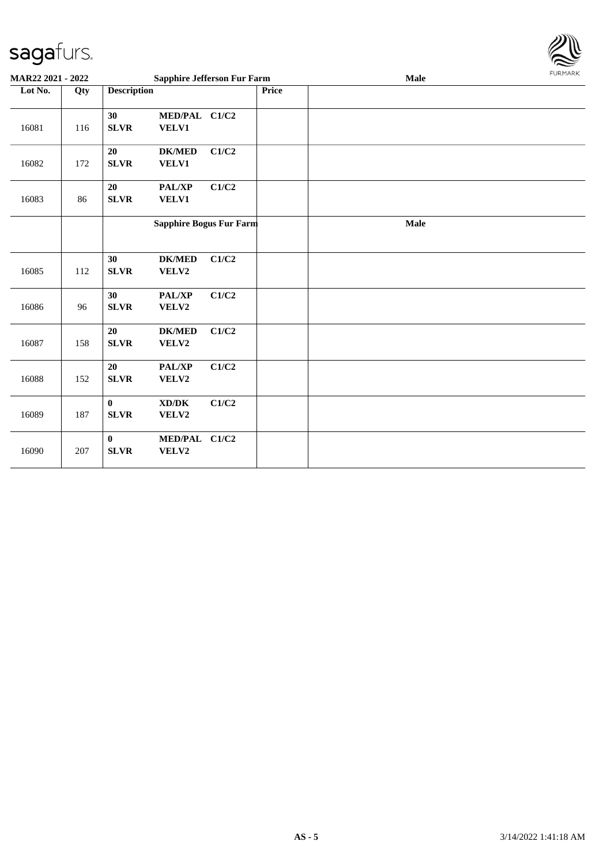

| <b>MAR22 2021 - 2022</b> |     |                         | <b>Sapphire Jefferson Fur Farm</b> |       |       | Male | FURMARK |
|--------------------------|-----|-------------------------|------------------------------------|-------|-------|------|---------|
| Lot No.                  | Qty | <b>Description</b>      |                                    |       | Price |      |         |
| 16081                    | 116 | 30<br><b>SLVR</b>       | MED/PAL C1/C2<br>VELV1             |       |       |      |         |
| 16082                    | 172 | 20<br><b>SLVR</b>       | <b>DK/MED</b><br>VELV1             | C1/C2 |       |      |         |
| 16083                    | 86  | 20<br><b>SLVR</b>       | PAL/XP<br>VELV1                    | C1/C2 |       |      |         |
|                          |     |                         | <b>Sapphire Bogus Fur Farm</b>     |       |       | Male |         |
| 16085                    | 112 | 30<br><b>SLVR</b>       | <b>DK/MED</b><br>VELV2             | C1/C2 |       |      |         |
| 16086                    | 96  | 30<br><b>SLVR</b>       | PAL/XP<br>VELV2                    | C1/C2 |       |      |         |
| 16087                    | 158 | 20<br><b>SLVR</b>       | <b>DK/MED</b><br>VELV2             | C1/C2 |       |      |         |
| 16088                    | 152 | 20<br><b>SLVR</b>       | PAL/XP<br>VELV2                    | C1/C2 |       |      |         |
| 16089                    | 187 | $\bf{0}$<br><b>SLVR</b> | XD/DK<br>VELV2                     | C1/C2 |       |      |         |
| 16090                    | 207 | $\bf{0}$<br><b>SLVR</b> | MED/PAL C1/C2<br>VELV2             |       |       |      |         |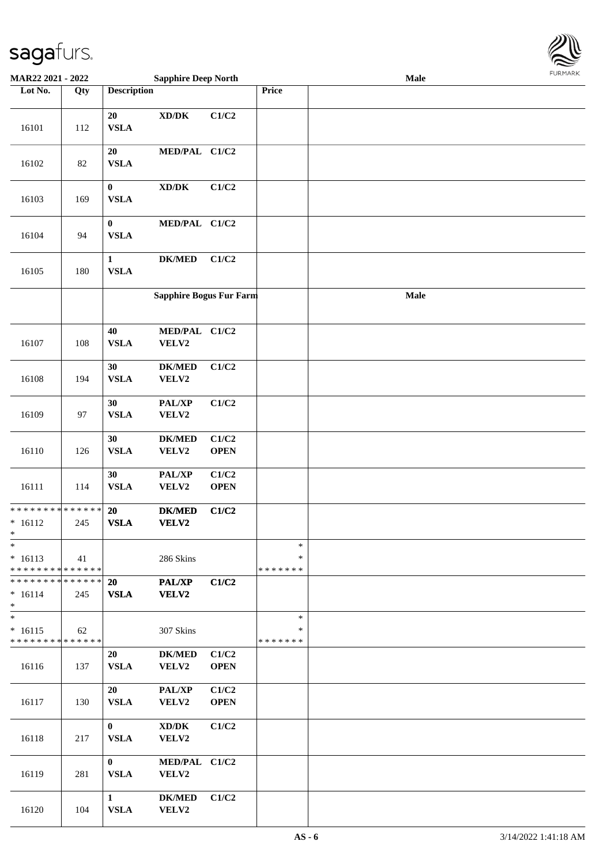

| <b>MAR22 2021 - 2022</b>                                                     |     |                                 | <b>Sapphire Deep North</b>                   |                      |                              | <b>Male</b> |  |
|------------------------------------------------------------------------------|-----|---------------------------------|----------------------------------------------|----------------------|------------------------------|-------------|--|
| Lot No.                                                                      | Qty | <b>Description</b>              |                                              |                      | <b>Price</b>                 |             |  |
|                                                                              |     |                                 |                                              |                      |                              |             |  |
| 16101                                                                        | 112 | ${\bf 20}$<br><b>VSLA</b>       | XD/DK                                        | C1/C2                |                              |             |  |
| 16102                                                                        | 82  | 20<br><b>VSLA</b>               | MED/PAL C1/C2                                |                      |                              |             |  |
| 16103                                                                        | 169 | $\boldsymbol{0}$<br><b>VSLA</b> | $\bold{X}\bold{D}/\bold{D}\bold{K}$          | C1/C2                |                              |             |  |
| 16104                                                                        | 94  | $\bf{0}$<br><b>VSLA</b>         | MED/PAL C1/C2                                |                      |                              |             |  |
| 16105                                                                        | 180 | $\mathbf{1}$<br><b>VSLA</b>     | <b>DK/MED</b>                                | C1/C2                |                              |             |  |
|                                                                              |     |                                 | Sapphire Bogus Fur Farm                      |                      |                              | Male        |  |
| 16107                                                                        | 108 | 40<br>${\bf VSLA}$              | MED/PAL C1/C2<br>VELV2                       |                      |                              |             |  |
| 16108                                                                        | 194 | 30<br><b>VSLA</b>               | <b>DK/MED</b><br>VELV2                       | C1/C2                |                              |             |  |
| 16109                                                                        | 97  | 30<br>${\bf VSLA}$              | PAL/XP<br>VELV2                              | C1/C2                |                              |             |  |
| 16110                                                                        | 126 | 30<br>${\bf VSLA}$              | <b>DK/MED</b><br>VELV2                       | C1/C2<br><b>OPEN</b> |                              |             |  |
| 16111                                                                        | 114 | 30<br><b>VSLA</b>               | PAL/XP<br>VELV2                              | C1/C2<br><b>OPEN</b> |                              |             |  |
| * * * * * * * * <mark>* * * * * * *</mark><br>$* 16112$<br>*                 | 245 | 20<br><b>VSLA</b>               | <b>DK/MED</b><br><b>VELV2</b>                | C1/C2                |                              |             |  |
| $\ast$<br>$* 16113$<br>* * * * * * * * <mark>* * * * * * *</mark>            | 41  |                                 | 286 Skins                                    |                      | $\ast$<br>∗<br>* * * * * * * |             |  |
| * * * * * * * * <mark>* * * * * *</mark> *<br>$* 16114$<br>$\ast$            | 245 | 20<br><b>VSLA</b>               | PAL/XP<br><b>VELV2</b>                       | C1/C2                |                              |             |  |
| $\overline{\ast}$<br>$* 16115$<br>* * * * * * * * <mark>* * * * * * *</mark> | 62  |                                 | 307 Skins                                    |                      | $\ast$<br>∗<br>* * * * * * * |             |  |
| 16116                                                                        | 137 | 20<br><b>VSLA</b>               | <b>DK/MED</b><br><b>VELV2</b>                | C1/C2<br><b>OPEN</b> |                              |             |  |
| 16117                                                                        | 130 | 20<br><b>VSLA</b>               | PAL/XP<br><b>VELV2</b>                       | C1/C2<br><b>OPEN</b> |                              |             |  |
| 16118                                                                        | 217 | $\bf{0}$<br>${\bf VSLA}$        | $\bold{X}\bold{D}/\bold{D}\bold{K}$<br>VELV2 | C1/C2                |                              |             |  |
| 16119                                                                        | 281 | $\bf{0}$<br><b>VSLA</b>         | MED/PAL C1/C2<br>VELV2                       |                      |                              |             |  |
| 16120                                                                        | 104 | $\mathbf{1}$<br><b>VSLA</b>     | <b>DK/MED</b><br>VELV2                       | C1/C2                |                              |             |  |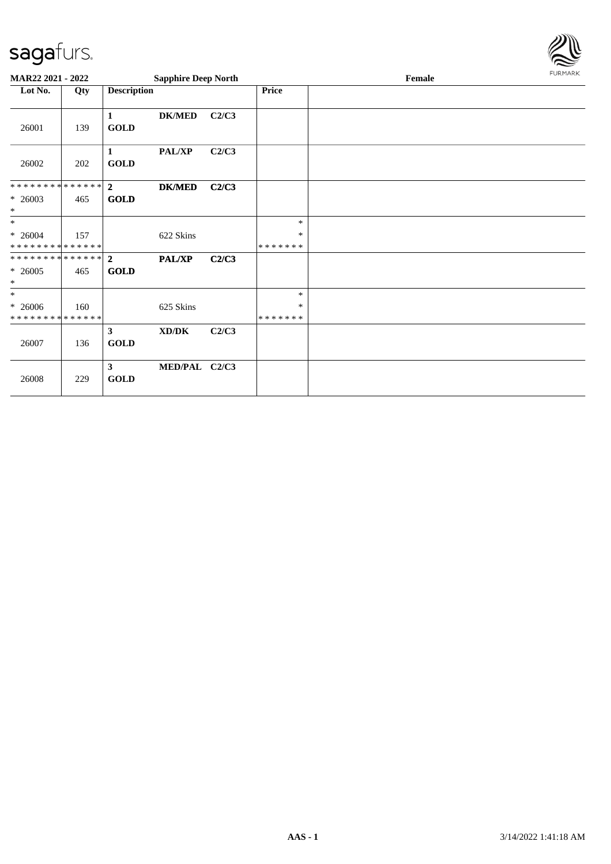

| MAR22 2021 - 2022                                     |     |                               | <b>Sapphire Deep North</b> |       |                                   | Female |  |  |  |  |
|-------------------------------------------------------|-----|-------------------------------|----------------------------|-------|-----------------------------------|--------|--|--|--|--|
| Lot No.                                               | Qty | <b>Description</b>            |                            |       | <b>Price</b>                      |        |  |  |  |  |
| 26001                                                 | 139 | 1<br><b>GOLD</b>              | <b>DK/MED</b>              | C2/C3 |                                   |        |  |  |  |  |
| 26002                                                 | 202 | 1<br><b>GOLD</b>              | PAL/XP                     | C2/C3 |                                   |        |  |  |  |  |
| * * * * * * * * * * * * * * *<br>$* 26003$<br>$\ast$  | 465 | $\overline{2}$<br><b>GOLD</b> | <b>DK/MED</b>              | C2/C3 |                                   |        |  |  |  |  |
| $*$<br>$* 26004$<br>* * * * * * * * * * * * * *       | 157 |                               | 622 Skins                  |       | $\ast$<br>$\ast$<br>* * * * * * * |        |  |  |  |  |
| ******** <mark>******</mark> 2<br>$* 26005$<br>$\ast$ | 465 | <b>GOLD</b>                   | PAL/XP                     | C2/C3 |                                   |        |  |  |  |  |
| $\ast$<br>$* 26006$<br>* * * * * * * * * * * * * *    | 160 |                               | 625 Skins                  |       | $\ast$<br>$\ast$<br>* * * * * * * |        |  |  |  |  |
| 26007                                                 | 136 | $\mathbf{3}$<br><b>GOLD</b>   | XD/DK                      | C2/C3 |                                   |        |  |  |  |  |
| 26008                                                 | 229 | $\mathbf{3}$<br><b>GOLD</b>   | MED/PAL C2/C3              |       |                                   |        |  |  |  |  |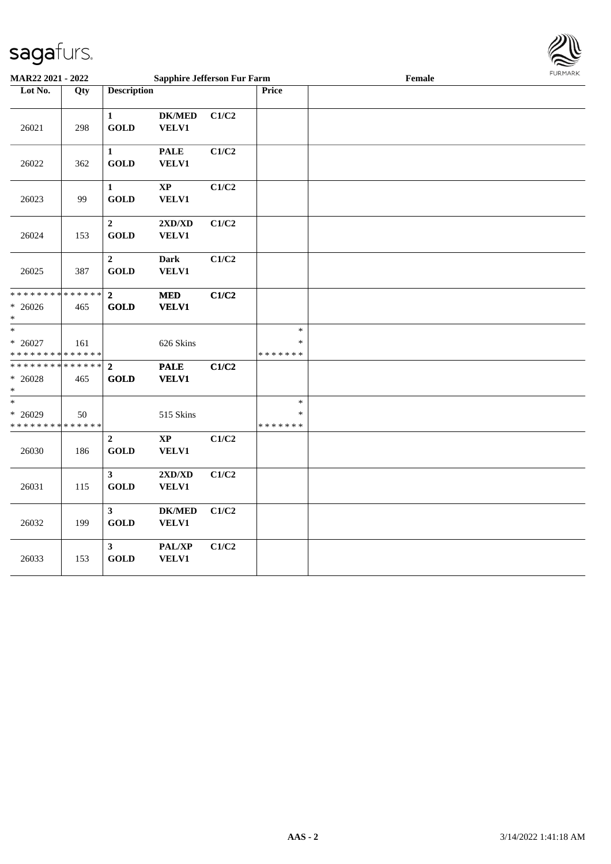

| MAR22 2021 - 2022                                    |                    |                                       | <b>Sapphire Jefferson Fur Farm</b> |       |                                   | Female | <b>FURPIARR</b> |
|------------------------------------------------------|--------------------|---------------------------------------|------------------------------------|-------|-----------------------------------|--------|-----------------|
| Lot No.                                              | Qty                | <b>Description</b>                    |                                    |       | Price                             |        |                 |
| 26021                                                | 298                | $\mathbf{1}$<br><b>GOLD</b>           | <b>DK/MED</b><br>VELV1             | C1/C2 |                                   |        |                 |
| 26022                                                | 362                | $\mathbf 1$<br><b>GOLD</b>            | <b>PALE</b><br>VELV1               | C1/C2 |                                   |        |                 |
| 26023                                                | 99                 | $\mathbf{1}$<br><b>GOLD</b>           | $\mathbf{XP}$<br>VELV1             | C1/C2 |                                   |        |                 |
| 26024                                                | 153                | $\overline{2}$<br><b>GOLD</b>         | 2XD/XD<br>VELV1                    | C1/C2 |                                   |        |                 |
| 26025                                                | 387                | $\boldsymbol{2}$<br><b>GOLD</b>       | <b>Dark</b><br>VELV1               | C1/C2 |                                   |        |                 |
| * * * * * * * *<br>$* 26026$<br>$*$                  | * * * * * *<br>465 | $\overline{2}$<br><b>GOLD</b>         | <b>MED</b><br><b>VELV1</b>         | C1/C2 |                                   |        |                 |
| $\ast$<br>$* 26027$<br>* * * * * * * * * * * * * *   | 161                |                                       | 626 Skins                          |       | $\ast$<br>$\ast$<br>* * * * * * * |        |                 |
| * * * * * * * * * * * * * * *<br>$* 26028$<br>$\ast$ | 465                | $\overline{2}$<br><b>GOLD</b>         | <b>PALE</b><br><b>VELV1</b>        | C1/C2 |                                   |        |                 |
| $*$<br>$* 26029$<br>* * * * * * * * * * * * * *      | 50                 |                                       | 515 Skins                          |       | $\ast$<br>$\ast$<br>* * * * * * * |        |                 |
| 26030                                                | 186                | $\boldsymbol{2}$<br><b>GOLD</b>       | $\mathbf{X}\mathbf{P}$<br>VELV1    | C1/C2 |                                   |        |                 |
| 26031                                                | 115                | $\mathbf{3}$<br><b>GOLD</b>           | 2XD/XD<br>VELV1                    | C1/C2 |                                   |        |                 |
| 26032                                                | 199                | $\mathbf{3}$<br>GOLD                  | <b>DK/MED</b><br><b>VELV1</b>      | C1/C2 |                                   |        |                 |
| 26033                                                | 153                | $\mathbf{3}$<br>$\operatorname{GOLD}$ | PAL/XP<br>VELV1                    | C1/C2 |                                   |        |                 |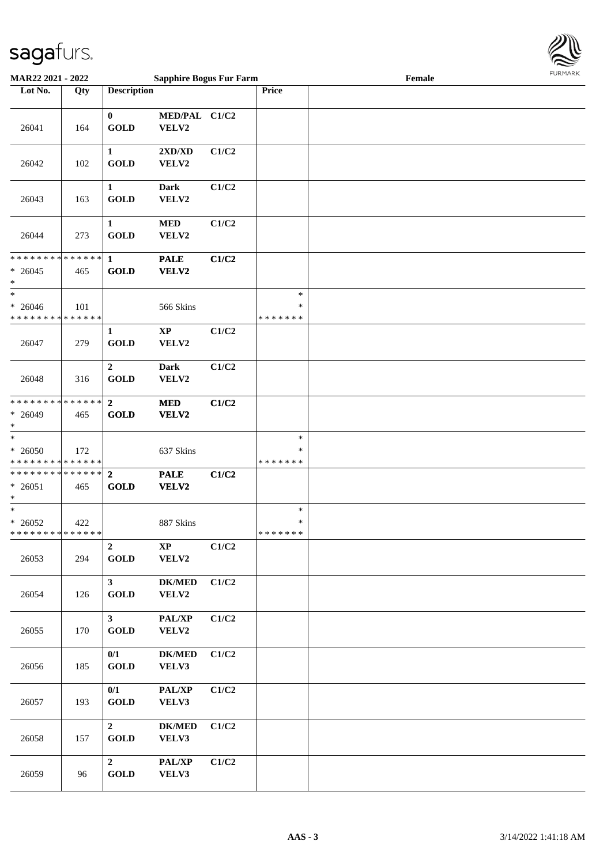

| <b>MAR22 2021 - 2022</b>                                          |     |                               | <b>Sapphire Bogus Fur Farm</b>      |       |                                   | Female | $1$ $0.51$ <i>W</i> $0.51$ |
|-------------------------------------------------------------------|-----|-------------------------------|-------------------------------------|-------|-----------------------------------|--------|----------------------------|
| Lot No.                                                           | Qty | <b>Description</b>            |                                     |       | Price                             |        |                            |
| 26041                                                             | 164 | $\bf{0}$<br><b>GOLD</b>       | MED/PAL C1/C2<br>VELV2              |       |                                   |        |                            |
| 26042                                                             | 102 | $\mathbf{1}$<br><b>GOLD</b>   | 2XD/XD<br>VELV2                     | C1/C2 |                                   |        |                            |
| 26043                                                             | 163 | $\mathbf{1}$<br><b>GOLD</b>   | <b>Dark</b><br>VELV2                | C1/C2 |                                   |        |                            |
| 26044                                                             | 273 | $\mathbf{1}$<br><b>GOLD</b>   | $\bf MED$<br>VELV2                  | C1/C2 |                                   |        |                            |
| * * * * * * * * <mark>* * * * * *</mark><br>$* 26045$<br>*        | 465 | $\mathbf{1}$<br><b>GOLD</b>   | <b>PALE</b><br><b>VELV2</b>         | C1/C2 |                                   |        |                            |
| $\ast$<br>$* 26046$<br>* * * * * * * * <mark>* * * * * *</mark>   | 101 |                               | 566 Skins                           |       | $\ast$<br>$\ast$<br>* * * * * * * |        |                            |
| 26047                                                             | 279 | $\mathbf{1}$<br><b>GOLD</b>   | $\bold{XP}$<br>VELV2                | C1/C2 |                                   |        |                            |
| 26048                                                             | 316 | $\overline{2}$<br><b>GOLD</b> | <b>Dark</b><br>VELV2                | C1/C2 |                                   |        |                            |
| * * * * * * * * * * * * * * *<br>$* 26049$<br>$\ast$              | 465 | $\mathbf{2}$<br><b>GOLD</b>   | <b>MED</b><br><b>VELV2</b>          | C1/C2 |                                   |        |                            |
| $\ast$<br>$* 26050$<br>* * * * * * * * * * * * * * *              | 172 |                               | 637 Skins                           |       | $\ast$<br>∗<br>* * * * * * *      |        |                            |
| * * * * * * * * * * * * * * <mark>*</mark><br>$* 26051$<br>$\ast$ | 465 | $\overline{2}$<br><b>GOLD</b> | <b>PALE</b><br><b>VELV2</b>         | C1/C2 |                                   |        |                            |
| $\ast$<br>$* 26052$<br>* * * * * * * * * * * * * *                | 422 |                               | 887 Skins                           |       | $\ast$<br>$\ast$<br>* * * * * * * |        |                            |
| 26053                                                             | 294 | $\overline{2}$<br><b>GOLD</b> | $\mathbf{XP}$<br>VELV2              | C1/C2 |                                   |        |                            |
| 26054                                                             | 126 | 3 <sup>1</sup><br><b>GOLD</b> | <b>DK/MED</b><br>VELV2              | C1/C2 |                                   |        |                            |
| 26055                                                             | 170 | 3 <sup>1</sup><br><b>GOLD</b> | PAL/XP<br>VELV2                     | C1/C2 |                                   |        |                            |
| 26056                                                             | 185 | 0/1<br>$\operatorname{GOLD}$  | $DK/MED$<br>VELV3                   | C1/C2 |                                   |        |                            |
| 26057                                                             | 193 | 0/1<br>$\operatorname{GOLD}$  | $\mathbf{PAL}/\mathbf{XP}$<br>VELV3 | C1/C2 |                                   |        |                            |
| 26058                                                             | 157 | $\overline{2}$<br><b>GOLD</b> | <b>DK/MED</b><br>VELV3              | C1/C2 |                                   |        |                            |
| 26059                                                             | 96  | $\overline{2}$<br><b>GOLD</b> | PAL/XP<br>VELV3                     | C1/C2 |                                   |        |                            |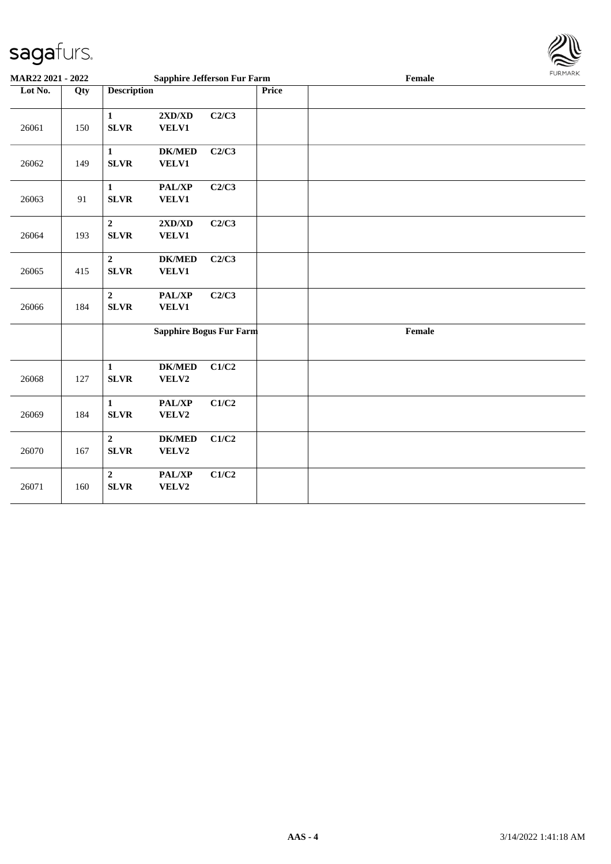

| MAR22 2021 - 2022 |     |                                 | <b>Sapphire Jefferson Fur Farm</b>        |                         |       | Female | י אירי יריי |
|-------------------|-----|---------------------------------|-------------------------------------------|-------------------------|-------|--------|-------------|
| Lot No.           | Qty | <b>Description</b>              |                                           |                         | Price |        |             |
| 26061             | 150 | $\mathbf{1}$<br><b>SLVR</b>     | 2XD/XD<br>VELV1                           | C2/C3                   |       |        |             |
| 26062             | 149 | $\mathbf{1}$<br><b>SLVR</b>     | <b>DK/MED</b><br>VELV1                    | C2/C3                   |       |        |             |
| 26063             | 91  | $\mathbf{1}$<br><b>SLVR</b>     | PAL/XP<br>VELV1                           | C2/C3                   |       |        |             |
| 26064             | 193 | $\boldsymbol{2}$<br><b>SLVR</b> | $2{\bf X}{\bf D}/{\bf X}{\bf D}$<br>VELV1 | C2/C3                   |       |        |             |
| 26065             | 415 | $\overline{2}$<br><b>SLVR</b>   | <b>DK/MED</b><br>VELV1                    | C2/C3                   |       |        |             |
| 26066             | 184 | $\overline{2}$<br><b>SLVR</b>   | PAL/XP<br>VELV1                           | C2/C3                   |       |        |             |
|                   |     |                                 |                                           | Sapphire Bogus Fur Farm |       | Female |             |
| 26068             | 127 | $\mathbf{1}$<br><b>SLVR</b>     | <b>DK/MED</b><br>VELV2                    | C1/C2                   |       |        |             |
| 26069             | 184 | $\mathbf{1}$<br><b>SLVR</b>     | PAL/XP<br>VELV2                           | C1/C2                   |       |        |             |
| 26070             | 167 | $\overline{2}$<br><b>SLVR</b>   | <b>DK/MED</b><br>VELV2                    | C1/C2                   |       |        |             |
| 26071             | 160 | $\overline{2}$<br><b>SLVR</b>   | PAL/XP<br>VELV2                           | C1/C2                   |       |        |             |